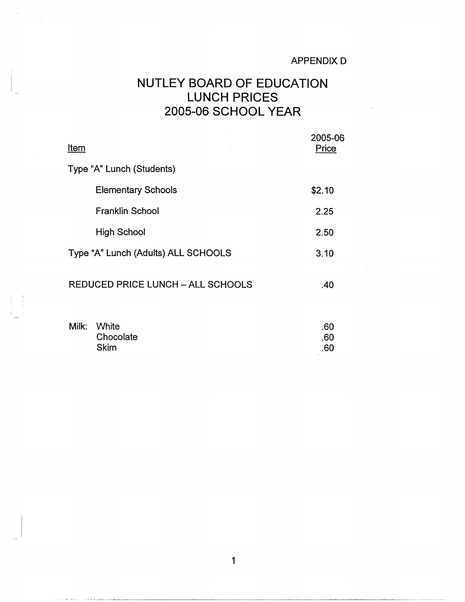## NUTLEY BOARD OF EDUCATION LUNCH PRICES 2005-06 SCHOOL YEAR

| Item                                | 2005-06<br>Price |  |
|-------------------------------------|------------------|--|
| Type "A" Lunch (Students)           |                  |  |
| <b>Elementary Schools</b>           | \$2.10           |  |
| <b>Franklin School</b>              | 2.25             |  |
| <b>High School</b>                  | 2.50             |  |
| Type "A" Lunch (Adults) ALL SCHOOLS | 3.10             |  |
| REDUCED PRICE LUNCH - ALL SCHOOLS   | .40              |  |

| Milk: White | .60 |
|-------------|-----|
| Chocolate   | .60 |
| <b>Skim</b> | .60 |
|             |     |

 $\vert$  :  $\mathbf{I}$  . The  $\mathbf{I}$ 

 $\sim 10^6$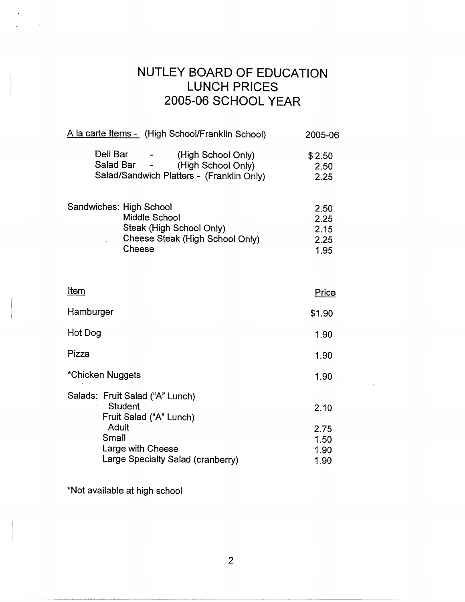## NUTLEY BOARD OF EDUCATION LUNCH PRICES 2005-06 SCHOOL YEAR

| A la carte Items - (High School/Franklin School)                                                                  | 2005-06                              |
|-------------------------------------------------------------------------------------------------------------------|--------------------------------------|
| Deli Bar<br>(High School Only)<br>Salad Bar -<br>(High School Only)<br>Salad/Sandwich Platters - (Franklin Only)  | \$2.50<br>2.50<br>2.25               |
| Sandwiches: High School<br>Middle School<br>Steak (High School Only)<br>Cheese Steak (High School Only)<br>Cheese | 2.50<br>2.25<br>2.15<br>2.25<br>1.95 |

| Item                                                                         | Price                        |
|------------------------------------------------------------------------------|------------------------------|
| Hamburger                                                                    | \$1.90                       |
| Hot Dog                                                                      | 1.90                         |
| Pizza                                                                        | 1.90                         |
| *Chicken Nuggets                                                             | 1.90                         |
| Salads: Fruit Salad ("A" Lunch)<br><b>Student</b><br>Fruit Salad ("A" Lunch) | 2.10                         |
| Adult<br>Small<br>Large with Cheese<br>Large Specialty Salad (cranberry)     | 2.75<br>1.50<br>1.90<br>1.90 |

\*Not available at high school

2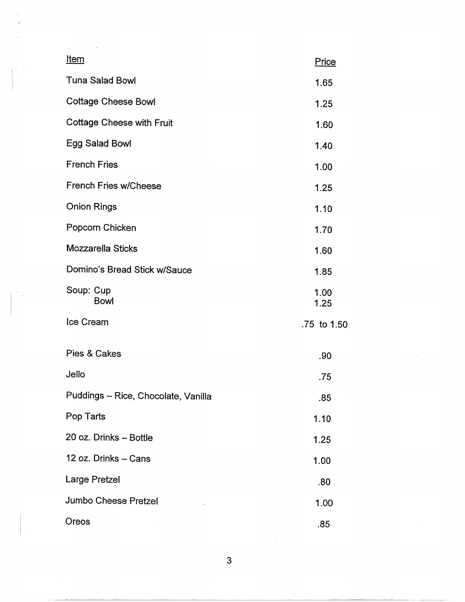| <u>Item</u>                         | Price        |
|-------------------------------------|--------------|
| <b>Tuna Salad Bowl</b>              | 1.65         |
| <b>Cottage Cheese Bowl</b>          | 1.25         |
| <b>Cottage Cheese with Fruit</b>    | 1.60         |
| Egg Salad Bowl                      | 1.40         |
| <b>French Fries</b>                 | 1.00         |
| <b>French Fries w/Cheese</b>        | 1.25         |
| <b>Onion Rings</b>                  | 1.10         |
| Popcorn Chicken                     | 1.70         |
| Mozzarella Sticks                   | 1.60         |
| Domino's Bread Stick w/Sauce        | 1.85         |
| Soup: Cup<br><b>Bowl</b>            | 1.00<br>1.25 |
| <b>Ice Cream</b>                    | .75 to 1.50  |
| Pies & Cakes                        | .90          |
| Jello                               | .75          |
| Puddings - Rice, Chocolate, Vanilla | .85          |
| Pop Tarts                           | 1.10         |
| 20 oz. Drinks - Bottle              | 1.25         |
| 12 oz. Drinks - Cans                | 1.00         |
| Large Pretzel                       | .80          |
| Jumbo Cheese Pretzel                | 1.00         |
| Oreos                               | .85          |

I

3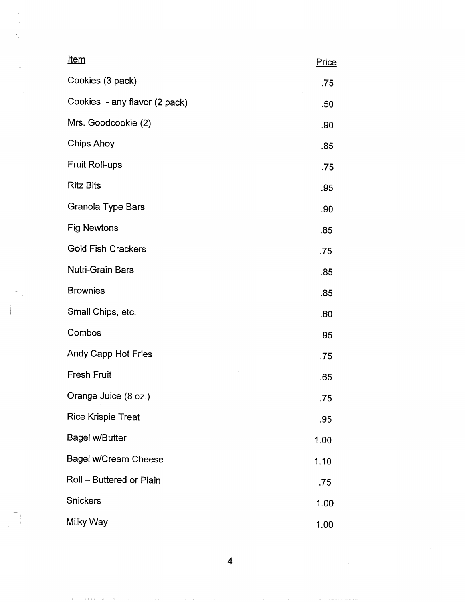| <u>Item</u>                   | Price |
|-------------------------------|-------|
| Cookies (3 pack)              | .75   |
| Cookies - any flavor (2 pack) | .50   |
| Mrs. Goodcookie (2)           | .90   |
| <b>Chips Ahoy</b>             | .85   |
| Fruit Roll-ups                | .75   |
| <b>Ritz Bits</b>              | .95   |
| <b>Granola Type Bars</b>      | .90   |
| <b>Fig Newtons</b>            | .85   |
| <b>Gold Fish Crackers</b>     | .75   |
| Nutri-Grain Bars              | .85   |
| <b>Brownies</b>               | .85   |
| Small Chips, etc.             | .60   |
| Combos                        | .95   |
| Andy Capp Hot Fries           | .75   |
| <b>Fresh Fruit</b>            | .65   |
| Orange Juice (8 oz.)          | .75   |
| <b>Rice Krispie Treat</b>     | .95   |
| <b>Bagel w/Butter</b>         | 1.00  |
| Bagel w/Cream Cheese          | 1.10  |
| Roll - Buttered or Plain      | .75   |
| <b>Snickers</b>               | 1.00  |
| Milky Way                     | 1.00  |

Item Price -

 $\begin{pmatrix} 1 & 1 \\ 1 & 1 \\ 1 & 1 \end{pmatrix}$ 

 $\tau_{\rm max}$  with a B  $\tau_{\rm max}$  is  $\tau_{\rm max}$  if it distance

4